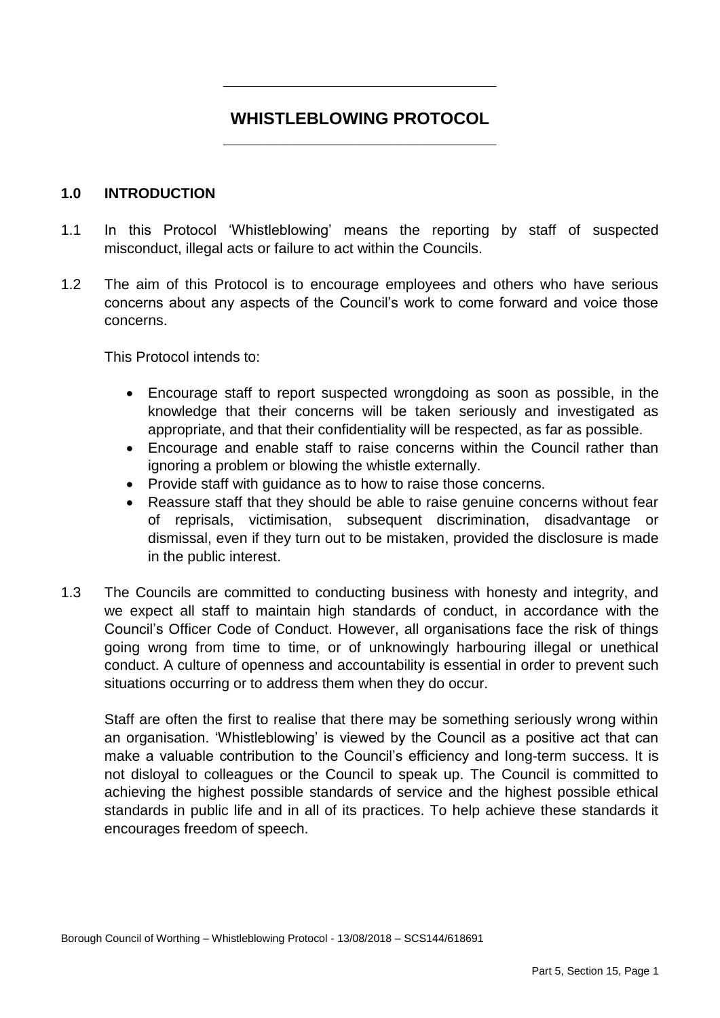# **\_\_\_\_\_\_\_\_\_\_\_\_\_\_\_\_\_\_\_\_\_\_\_\_\_\_\_\_\_ WHISTLEBLOWING PROTOCOL**

**\_\_\_\_\_\_\_\_\_\_\_\_\_\_\_\_\_\_\_\_\_\_\_\_\_\_\_\_\_** 

#### **1.0 INTRODUCTION**

- 1.1 In this Protocol 'Whistleblowing' means the reporting by staff of suspected misconduct, illegal acts or failure to act within the Councils.
- $1.2$  concerns about any aspects of the Council's work to come forward and voice those The aim of this Protocol is to encourage employees and others who have serious concerns.

This Protocol intends to:

- Encourage staff to report suspected wrongdoing as soon as possible, in the knowledge that their concerns will be taken seriously and investigated as appropriate, and that their confidentiality will be respected, as far as possible.
- Encourage and enable staff to raise concerns within the Council rather than ignoring a problem or blowing the whistle externally.
- Provide staff with quidance as to how to raise those concerns.
- Reassure staff that they should be able to raise genuine concerns without fear dismissal, even if they turn out to be mistaken, provided the disclosure is made of reprisals, victimisation, subsequent discrimination, disadvantage or in the public interest.
- $1.3$  we expect all staff to maintain high standards of conduct, in accordance with the Council's Officer Code of Conduct. However, all organisations face the risk of things going wrong from time to time, or of unknowingly harbouring illegal or unethical conduct. A culture of openness and accountability is essential in order to prevent such situations occurring or to address them when they do occur. The Councils are committed to conducting business with honesty and integrity, and

 Staff are often the first to realise that there may be something seriously wrong within an organisation. 'Whistleblowing' is viewed by the Council as a positive act that can make a valuable contribution to the Council's efficiency and long-term success. It is not disloyal to colleagues or the Council to speak up. The Council is committed to achieving the highest possible standards of service and the highest possible ethical standards in public life and in all of its practices. To help achieve these standards it encourages freedom of speech.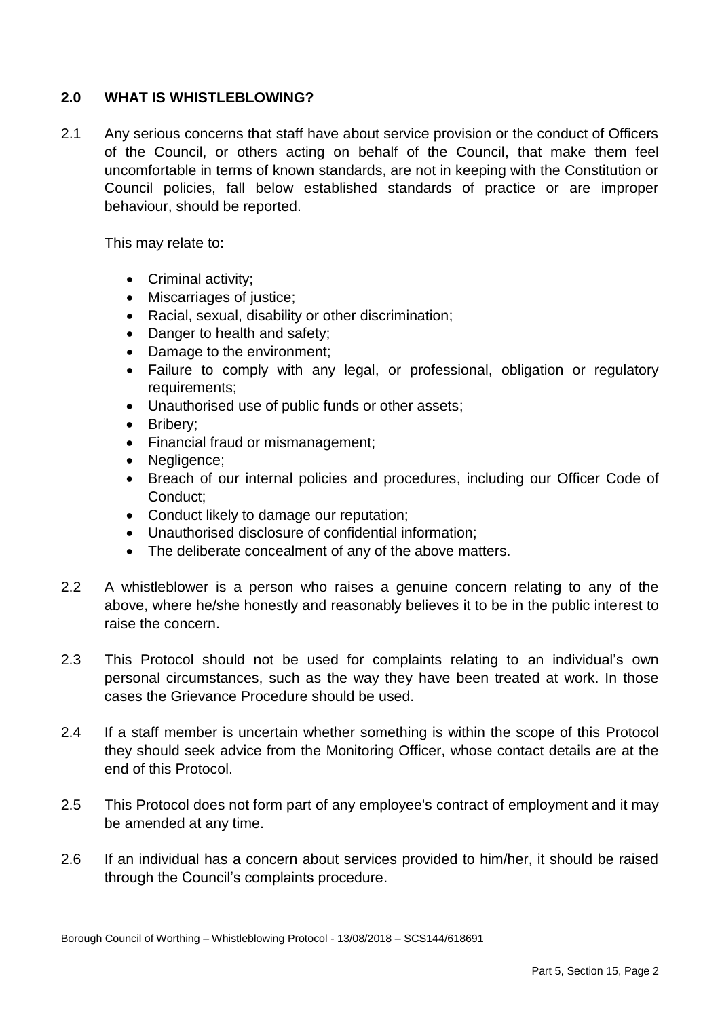## **2.0 WHAT IS WHISTLEBLOWING?**

 $2.1$  of the Council, or others acting on behalf of the Council, that make them feel uncomfortable in terms of known standards, are not in keeping with the Constitution or Council policies, fall below established standards of practice or are improper 2.1 Any serious concerns that staff have about service provision or the conduct of Officers behaviour, should be reported.

This may relate to:

- Criminal activity;
- Miscarriages of justice;
- Racial, sexual, disability or other discrimination;
- Danger to health and safety;
- Damage to the environment;
- Failure to comply with any legal, or professional, obligation or regulatory requirements;
- Unauthorised use of public funds or other assets;
- Bribery;
- Financial fraud or mismanagement;
- Negligence;
- Breach of our internal policies and procedures, including our Officer Code of Conduct;
- Conduct likely to damage our reputation;
- Unauthorised disclosure of confidential information;
- The deliberate concealment of any of the above matters.
- 2.2 A whistleblower is a person who raises a genuine concern relating to any of the above, where he/she honestly and reasonably believes it to be in the public interest to raise the concern.
- 2.3 This Protocol should not be used for complaints relating to an individual's own personal circumstances, such as the way they have been treated at work. In those cases the Grievance Procedure should be used.
- $2.4$  they should seek advice from the Monitoring Officer, whose contact details are at the If a staff member is uncertain whether something is within the scope of this Protocol end of this Protocol.
- 2.5 This Protocol does not form part of any employee's contract of employment and it may be amended at any time.
- $2.6$ If an individual has a concern about services provided to him/her, it should be raised through the Council's complaints procedure.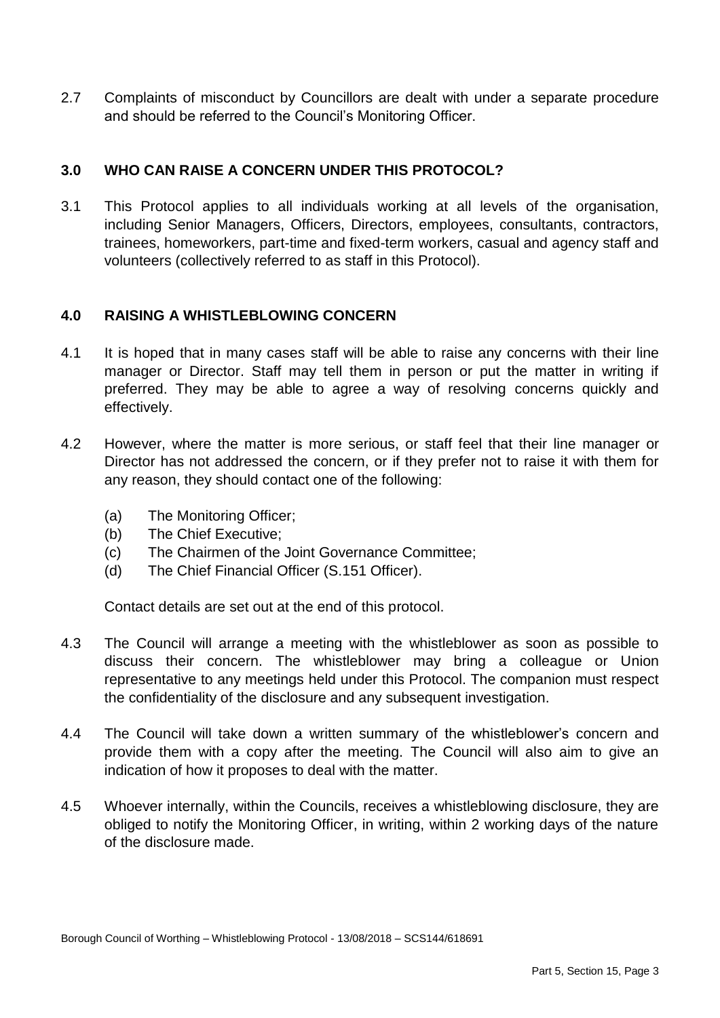2.7 Complaints of misconduct by Councillors are dealt with under a separate procedure and should be referred to the Council's Monitoring Officer.

## **3.0 WHO CAN RAISE A CONCERN UNDER THIS PROTOCOL?**

 3.1 This Protocol applies to all individuals working at all levels of the organisation, trainees, homeworkers, part-time and fixed-term workers, casual and agency staff and volunteers (collectively referred to as staff in this Protocol). including Senior Managers, Officers, Directors, employees, consultants, contractors,

### **4.0 RAISING A WHISTLEBLOWING CONCERN**

- $4.1$  manager or Director. Staff may tell them in person or put the matter in writing if preferred. They may be able to agree a way of resolving concerns quickly and It is hoped that in many cases staff will be able to raise any concerns with their line effectively.
- 4.2 However, where the matter is more serious, or staff feel that their line manager or Director has not addressed the concern, or if they prefer not to raise it with them for any reason, they should contact one of the following:
	- (a) The Monitoring Officer;
	- (b) The Chief Executive;
	- $(c)$ The Chairmen of the Joint Governance Committee;
	- (d) The Chief Financial Officer (S.151 Officer).

Contact details are set out at the end of this protocol.

- $4.3$  discuss their concern. The whistleblower may bring a colleague or Union representative to any meetings held under this Protocol. The companion must respect the confidentiality of the disclosure and any subsequent investigation. The Council will arrange a meeting with the whistleblower as soon as possible to
- $4.4$  provide them with a copy after the meeting. The Council will also aim to give an indication of how it proposes to deal with the matter. The Council will take down a written summary of the whistleblower's concern and
- 4.5 Whoever internally, within the Councils, receives a whistleblowing disclosure, they are obliged to notify the Monitoring Officer, in writing, within 2 working days of the nature of the disclosure made.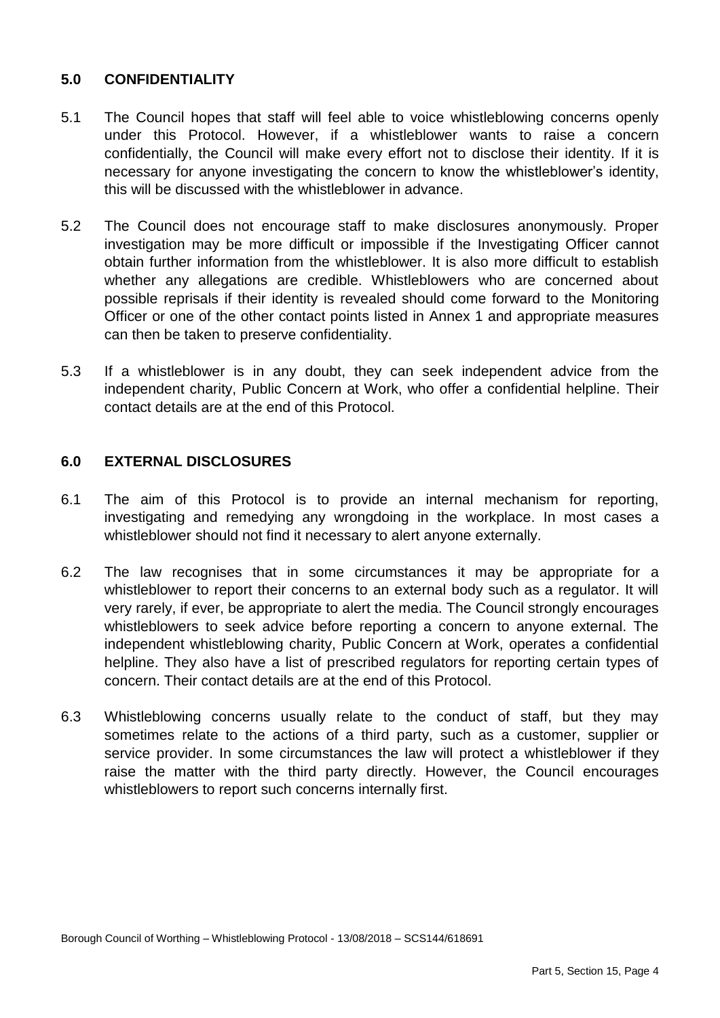# **5.0 CONFIDENTIALITY**

- $5.1$  under this Protocol. However, if a whistleblower wants to raise a concern confidentially, the Council will make every effort not to disclose their identity. If it is necessary for anyone investigating the concern to know the whistleblower's identity, this will be discussed with the whistleblower in advance. The Council hopes that staff will feel able to voice whistleblowing concerns openly
- $5.2$  investigation may be more difficult or impossible if the Investigating Officer cannot obtain further information from the whistleblower. It is also more difficult to establish whether any allegations are credible. Whistleblowers who are concerned about possible reprisals if their identity is revealed should come forward to the Monitoring Officer or one of the other contact points listed in Annex 1 and appropriate measures The Council does not encourage staff to make disclosures anonymously. Proper can then be taken to preserve confidentiality.
- $5.3$  independent charity, Public Concern at Work, who offer a confidential helpline. Their If a whistleblower is in any doubt, they can seek independent advice from the contact details are at the end of this Protocol.

## **6.0 EXTERNAL DISCLOSURES**

- $6.1$  investigating and remedying any wrongdoing in the workplace. In most cases a The aim of this Protocol is to provide an internal mechanism for reporting, whistleblower should not find it necessary to alert anyone externally.
- $6.2$  whistleblower to report their concerns to an external body such as a regulator. It will very rarely, if ever, be appropriate to alert the media. The Council strongly encourages whistleblowers to seek advice before reporting a concern to anyone external. The helpline. They also have a list of prescribed regulators for reporting certain types of concern. Their contact details are at the end of this Protocol. The law recognises that in some circumstances it may be appropriate for a independent whistleblowing charity, Public Concern at Work, operates a confidential
- 6.3 Whistleblowing concerns usually relate to the conduct of staff, but they may sometimes relate to the actions of a third party, such as a customer, supplier or service provider. In some circumstances the law will protect a whistleblower if they raise the matter with the third party directly. However, the Council encourages whistleblowers to report such concerns internally first.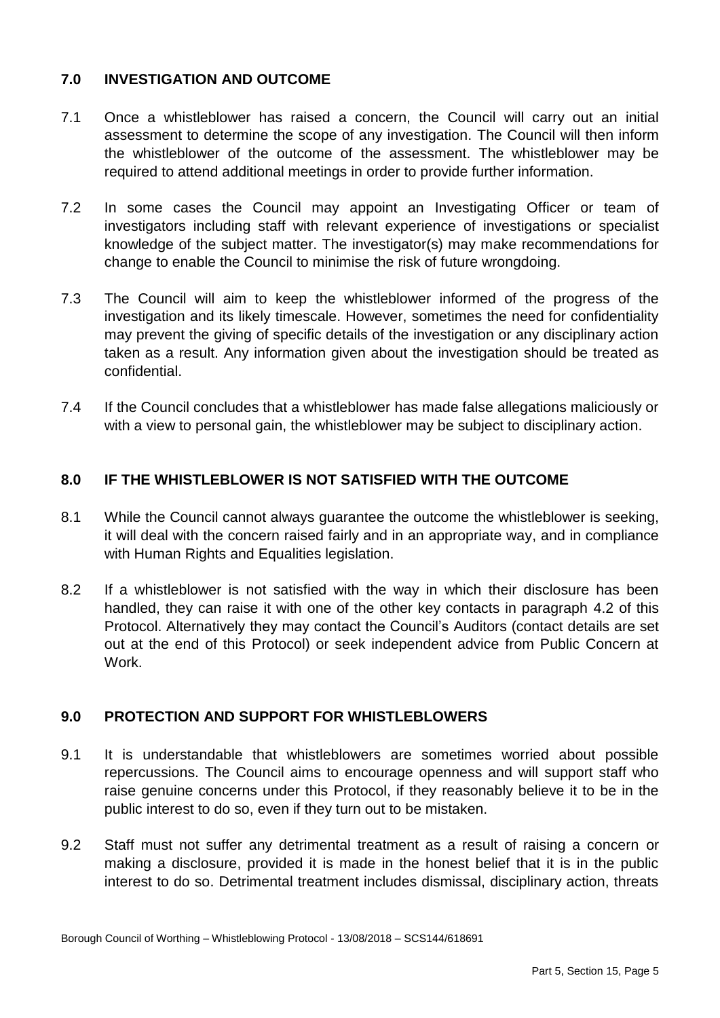## **7.0 INVESTIGATION AND OUTCOME**

- $7.1$  assessment to determine the scope of any investigation. The Council will then inform the whistleblower of the outcome of the assessment. The whistleblower may be 7.1 Once a whistleblower has raised a concern, the Council will carry out an initial required to attend additional meetings in order to provide further information.
- $7.2$  investigators including staff with relevant experience of investigations or specialist knowledge of the subject matter. The investigator(s) may make recommendations for change to enable the Council to minimise the risk of future wrongdoing. In some cases the Council may appoint an Investigating Officer or team of
- $7.3$  investigation and its likely timescale. However, sometimes the need for confidentiality may prevent the giving of specific details of the investigation or any disciplinary action taken as a result. Any information given about the investigation should be treated as The Council will aim to keep the whistleblower informed of the progress of the confidential.
- $7.4$ 7.4 If the Council concludes that a whistleblower has made false allegations maliciously or with a view to personal gain, the whistleblower may be subject to disciplinary action.

## **8.0 IF THE WHISTLEBLOWER IS NOT SATISFIED WITH THE OUTCOME**

- 8.1 While the Council cannot always guarantee the outcome the whistleblower is seeking, it will deal with the concern raised fairly and in an appropriate way, and in compliance with Human Rights and Equalities legislation.
- $8.2$  handled, they can raise it with one of the other key contacts in paragraph 4.2 of this Protocol. Alternatively they may contact the Council's Auditors (contact details are set out at the end of this Protocol) or seek independent advice from Public Concern at If a whistleblower is not satisfied with the way in which their disclosure has been Work.

### **9.0 PROTECTION AND SUPPORT FOR WHISTLEBLOWERS**

- $9.1$  repercussions. The Council aims to encourage openness and will support staff who raise genuine concerns under this Protocol, if they reasonably believe it to be in the It is understandable that whistleblowers are sometimes worried about possible public interest to do so, even if they turn out to be mistaken.
- $9.2$  making a disclosure, provided it is made in the honest belief that it is in the public interest to do so. Detrimental treatment includes dismissal, disciplinary action, threats Staff must not suffer any detrimental treatment as a result of raising a concern or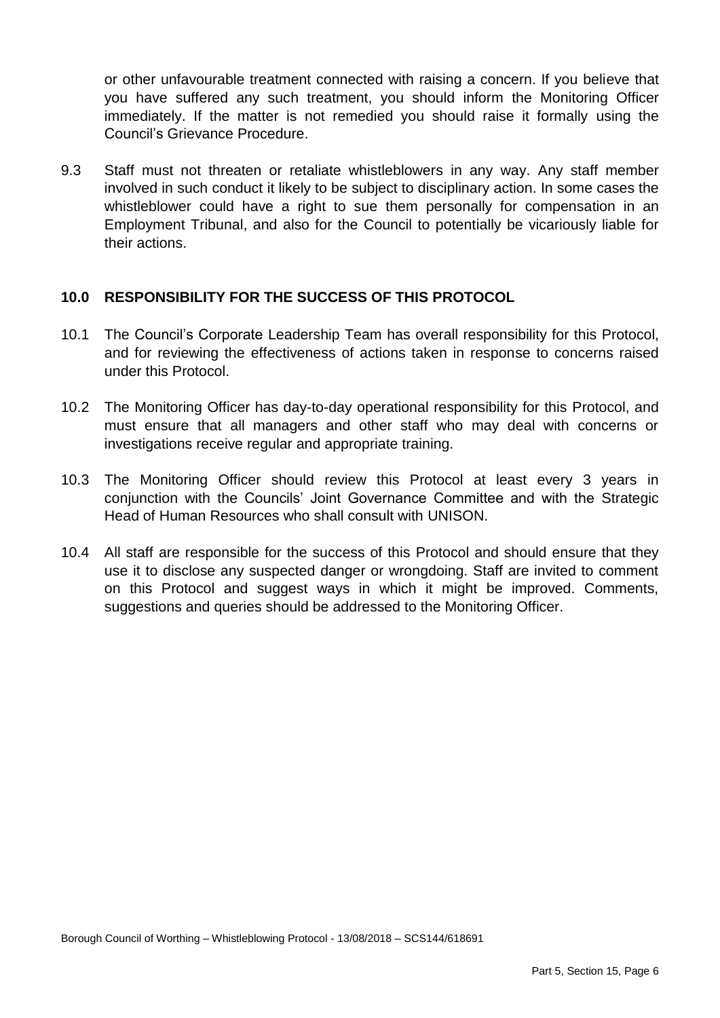or other unfavourable treatment connected with raising a concern. If you believe that you have suffered any such treatment, you should inform the Monitoring Officer immediately. If the matter is not remedied you should raise it formally using the Council's Grievance Procedure.

9.3 involved in such conduct it likely to be subject to disciplinary action. In some cases the whistleblower could have a right to sue them personally for compensation in an Employment Tribunal, and also for the Council to potentially be vicariously liable for Staff must not threaten or retaliate whistleblowers in any way. Any staff member their actions.

### **10.0 RESPONSIBILITY FOR THE SUCCESS OF THIS PROTOCOL**

- 10.1 The Council's Corporate Leadership Team has overall responsibility for this Protocol, and for reviewing the effectiveness of actions taken in response to concerns raised under this Protocol.
- 10.2 The Monitoring Officer has day-to-day operational responsibility for this Protocol, and must ensure that all managers and other staff who may deal with concerns or investigations receive regular and appropriate training.
- 10.3 The Monitoring Officer should review this Protocol at least every 3 years in conjunction with the Councils' Joint Governance Committee and with the Strategic Head of Human Resources who shall consult with UNISON.
- 10.4 All staff are responsible for the success of this Protocol and should ensure that they use it to disclose any suspected danger or wrongdoing. Staff are invited to comment on this Protocol and suggest ways in which it might be improved. Comments, suggestions and queries should be addressed to the Monitoring Officer.